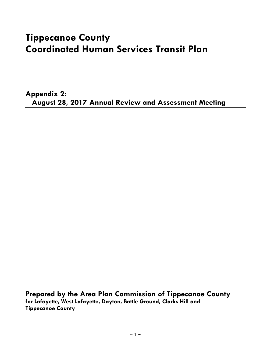# **Tippecanoe County Coordinated Human Services Transit Plan**

**Appendix 2: August 28, 2017 Annual Review and Assessment Meeting**

**Prepared by the Area Plan Commission of Tippecanoe County for Lafayette, West Lafayette, Dayton, Battle Ground, Clarks Hill and Tippecanoe County**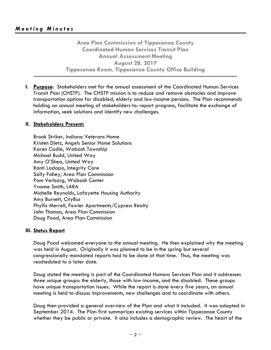**Area Plan Commission of Tippecanoe County Coordinated Human Services Transit Plan Annual Assessment Meeting August 28, 2017 Tippecanoe Room, Tippecanoe County Office Building**

**──────────────────────────────────────────────────────**

**I. Purpose**: Stakeholders met for the annual assessment of the Coordinated Human Services Transit Plan (CHSTP). The CHSTP mission is to reduce and remove obstacles and improve transportation options for disabled, elderly and low-income persons. The Plan recommends holding an annual meeting of stakeholders to: report progress, facilitate the exchange of information, seek solutions and identify new challenges.

# **II. Stakeholders Present:**

Brook Striker, Indiana Veterans Home Kristen Dietz, Angels Senior Home Solutions Karen Cadle, Wabash Township Michael Budd, United Way Amy O'Shea, United Way Ranti Ladapo, Integrity Care Sally Fahey, Area Plan Commission Pam Verbarg, Wabash Center Yvonne Smith, LARA Michelle Reynolds, Lafayette Housing Authority Amy Burnett, CityBus Phyllis Merrell, Fowler Apartments/Cypress Realty John Thomas, Area Plan Commission Doug Poad, Area Plan Commission

# **III. Status Report**

Doug Poad welcomed everyone to the annual meeting. He then explained why the meeting was held in August. Originally it was planned to be in the spring but several congressionally mandated reports had to be done at that time. Thus, the meeting was rescheduled to a later date.

Doug stated the meeting is part of the Coordinated Humans Services Plan and it addresses three unique groups: the elderly, those with low-income, and the disabled. These groups have unique transportation issues. While the report is done every five years, an annual meeting is held to discuss improvements, new challenges and to coordinate with others.

Doug then provided a general overview of the Plan and what it included. It was adopted in September 2014. The Plan first summarizes existing services within Tippecanoe County whether they be public or private. It also includes a demographic review. The heart of the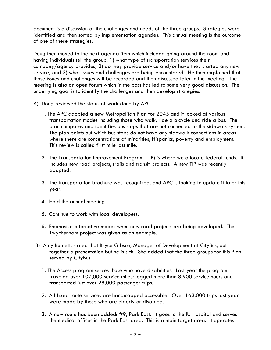document is a discussion of the challenges and needs of the three groups. Strategies were identified and then sorted by implementation agencies. This annual meeting is the outcome of one of these strategies.

Doug then moved to the next agenda item which included going around the room and having individuals tell the group: 1) what type of transportation services their company/agency provides; 2) do they provide service and/or have they started any new service; and 3) what issues and challenges are being encountered. He then explained that those issues and challenges will be recorded and then discussed later in the meeting. The meeting is also an open forum which in the past has led to some very good discussion. The underlying goal is to identify the challenges and then develop strategies.

- A) Doug reviewed the status of work done by APC.
	- 1. The APC adopted a new Metropolitan Plan for 2045 and it looked at various transportation modes including those who walk, ride a bicycle and ride a bus. The plan compares and identifies bus stops that are not connected to the sidewalk system. The plan points out which bus stops do not have any sidewalk connections in areas where there are concentrations of minorities, Hispanics, poverty and employment. This review is called first mile last mile.
	- 2. The Transportation Improvement Program (TIP) is where we allocate federal funds. It includes new road projects, trails and transit projects. A new TIP was recently adopted.
	- 3. The transportation brochure was recognized, and APC is looking to update it later this year.
	- 4. Hold the annual meeting.
	- 5. Continue to work with local developers.
	- 6. Emphasize alternative modes when new road projects are being developed. The Twyckenham project was given as an example.
- B) Amy Burnett, stated that Bryce Gibson, Manager of Development at CityBus, put together a presentation but he is sick. She added that the three groups for this Plan served by CityBus.
	- 1. The Access program serves those who have disabilities. Last year the program traveled over 107,000 service miles; logged more than 8,900 service hours and transported just over 28,000 passenger trips.
	- 2. All fixed route services are handicapped accessible. Over 163,000 trips last year were made by those who are elderly or disabled.
	- 3. A new route has been added: #9, Park East. It goes to the IU Hospital and serves the medical offices in the Park East area. This is a main target area. It operates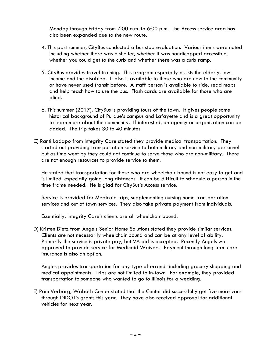Monday through Friday from 7:00 a.m. to 6:00 p.m. The Access service area has also been expanded due to the new route.

- 4. This past summer, CityBus conducted a bus stop evaluation. Various items were noted including whether there was a shelter, whether it was handicapped accessible, whether you could get to the curb and whether there was a curb ramp.
- 5. CityBus provides travel training. This program especially assists the elderly, lowincome and the disabled. It also is available to those who are new to the community or have never used transit before. A staff person is available to ride, read maps and help teach how to use the bus. Flash cards are available for those who are blind.
- 6. This summer (2017), CityBus is providing tours of the town. It gives people some historical background of Purdue's campus and Lafayette and is a great opportunity to learn more about the community. If interested, an agency or organization can be added. The trip takes 30 to 40 minutes.
- C) Ranti Ladapo from Integrity Care stated they provide medical transportation. They started out providing transportation service to both military and non-military personnel but as time went by they could not continue to serve those who are non-military. There are not enough resources to provide service to them.

He stated that transportation for those who are wheelchair bound is not easy to get and is limited, especially going long distances. It can be difficult to schedule a person in the time frame needed. He is glad for CityBus's Access service.

Service is provided for Medicaid trips, supplementing nursing home transportation services and out of town services. They also take private payment from individuals.

Essentially, Integrity Care's clients are all wheelchair bound.

D) Kristen Dietz from Angels Senior Home Solutions stated they provide similar services. Clients are not necessarily wheelchair bound and can be at any level of ability. Primarily the service is private pay, but VA aid is accepted. Recently Angels was approved to provide service for Medicaid Waivers. Payment through long-term care insurance is also an option.

Angles provides transportation for any type of errands including grocery shopping and medical appointments. Trips are not limited to in-town. For example, they provided transportation to someone who wanted to go to Illinois for a wedding.

E) Pam Verbarg, Wabash Center stated that the Center did successfully get five more vans through INDOT's grants this year. They have also received approval for additional vehicles for next year.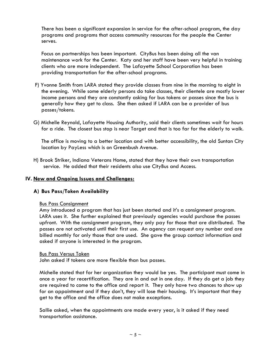There has been a significant expansion in service for the after-school program, the day programs and programs that access community resources for the people the Center serves.

Focus on partnerships has been important. CityBus has been doing all the van maintenance work for the Center. Katy and her staff have been very helpful in training clients who are more independent. The Lafayette School Corporation has been providing transportation for the after-school programs.

- F) Yvonne Smith from LARA stated they provide classes from nine in the morning to eight in the evening. While some elderly persons do take classes, their clientele are mostly lower income persons and they are constantly asking for bus tokens or passes since the bus is generally how they get to class. She then asked if LARA can be a provider of bus passes/tokens.
- G) Michelle Reynold, Lafayette Housing Authority, said their clients sometimes wait for hours for a ride. The closest bus stop is near Target and that is too far for the elderly to walk.

The office is moving to a better location and with better accessibility, the old Suntan City location by PayLess which is on Greenbush Avenue.

H) Brook Striker, Indiana Veterans Home, stated that they have their own transportation service. He added that their residents also use CityBus and Access.

# **IV. New and Ongoing Issues and Challenges:**

# **A) Bus Pass/Token Availability**

# Bus Pass Consignment

Amy introduced a program that has just been started and it's a consignment program. LARA uses it. She further explained that previously agencies would purchase the passes upfront. With the consignment program, they only pay for those that are distributed. The passes are not activated until their first use. An agency can request any number and are billed monthly for only those that are used. She gave the group contact information and asked if anyone is interested in the program.

# Bus Pass Versus Token

John asked if tokens are more flexible than bus passes.

Michelle stated that for her organization they would be yes. The participant must come in once a year for recertification. They are in and out in one day. If they do get a job they are required to come to the office and report it. They only have two chances to show up for an appointment and if they don't, they will lose their housing. It's important that they get to the office and the office does not make exceptions.

Sallie asked, when the appointments are made every year, is it asked if they need transportation assistance.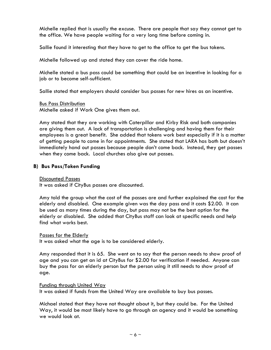Michelle replied that is usually the excuse. There are people that say they cannot get to the office. We have people waiting for a very long time before coming in.

Sallie found it interesting that they have to get to the office to get the bus tokens.

Michelle followed up and stated they can cover the ride home.

Michelle stated a bus pass could be something that could be an incentive in looking for a job or to become self-sufficient.

Sallie stated that employers should consider bus passes for new hires as an incentive.

Bus Pass Distribution

Michelle asked if Work One gives them out.

Amy stated that they are working with Caterpillar and Kirby Risk and both companies are giving them out. A lack of transportation is challenging and having them for their employees is a great benefit. She added that tokens work best especially if it is a matter of getting people to come in for appointments. She stated that LARA has both but doesn't immediately hand out passes because people don't come back. Instead, they get passes when they come back. Local churches also give out passes.

# **B) Bus Pass/Token Funding**

Discounted Passes

It was asked if CityBus passes are discounted.

Amy told the group what the cost of the passes are and further explained the cost for the elderly and disabled. One example given was the day pass and it costs \$2.00. It can be used as many times during the day, but pass may not be the best option for the elderly or disabled. She added that CityBus staff can look at specific needs and help find what works best.

# Passes for the Elderly

It was asked what the age is to be considered elderly.

Amy responded that it is 65. She went on to say that the person needs to show proof of age and you can get an id at CityBus for \$2.00 for verification if needed. Anyone can buy the pass for an elderly person but the person using it still needs to show proof of age.

# Funding through United Way

It was asked if funds from the United Way are available to buy bus passes.

Michael stated that they have not thought about it, but they could be. For the United Way, it would be most likely have to go through an agency and it would be something we would look at.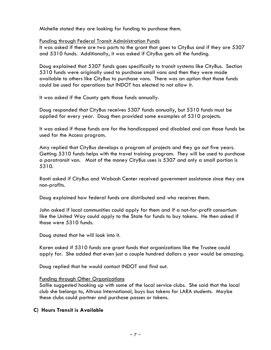Michelle stated they are looking for funding to purchase them.

# Funding through Federal Transit Administration Funds

It was asked if there are two parts to the grant that goes to CityBus and if they are 5307 and 5310 funds. Additionally, it was asked if CityBus gets all the funding.

Doug explained that 5307 funds goes specifically to transit systems like CityBus. Section 5310 funds were originally used to purchase small vans and then they were made available to others like CityBus to purchase vans. There was an option that those funds could be used for operations but INDOT has elected to not allow it.

It was asked if the County gets those funds annually.

Doug responded that CityBus receives 5307 funds annually, but 5310 funds must be applied for every year. Doug then provided some examples of 5310 projects.

It was asked if those funds are for the handicapped and disabled and can those funds be used for the Access program.

Amy replied that CityBus develops a program of projects and they go out five years. Getting 5310 funds helps with the travel training program. They will be used to purchase a paratransit van. Most of the money CityBus uses is 5307 and only a small portion is 5310.

Ranti asked if CityBus and Wabash Center received government assistance since they are non-profits.

Doug explained how federal funds are distributed and who receives them.

John asked if local communities could apply for them and if a not-for-profit consortium like the United Way could apply to the State for funds to buy tokens. He then asked if those were 5310 funds.

Doug stated that he will look into it.

Karen asked if 5310 funds are grant funds that organizations like the Trustee could apply for. She added that even just a couple hundred dollars a year would be amazing.

Doug replied that he would contact INDOT and find out.

# Funding through Other Organizations

Sallie suggested hooking up with some of the local service clubs. She said that the local club she belongs to, Altrusa International, buys bus tokens for LARA students. Maybe these clubs could partner and purchase passes or tokens.

# **C) Hours Transit is Available**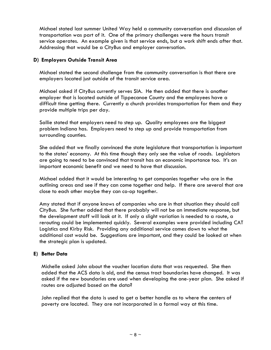Michael stated last summer United Way held a community conversation and discussion of transportation was part of it. One of the primary challenges were the hours transit service operates. An example given is that service ends, but a work shift ends after that. Addressing that would be a CityBus and employer conversation.

# **D) Employers Outside Transit Area**

Michael stated the second challenge from the community conversation is that there are employers located just outside of the transit service area.

Michael asked if CityBus currently serves SIA. He then added that there is another employer that is located outside of Tippecanoe County and the employees have a difficult time getting there. Currently a church provides transportation for them and they provide multiple trips per day.

Sallie stated that employers need to step up. Quality employees are the biggest problem Indiana has. Employers need to step up and provide transportation from surrounding counties.

She added that we finally convinced the state legislature that transportation is important to the states' economy. At this time though they only see the value of roads. Legislators are going to need to be convinced that transit has an economic importance too. It's an important economic benefit and we need to have that discussion.

Michael added that it would be interesting to get companies together who are in the outlining areas and see if they can come together and help. If there are several that are close to each other maybe they can co-op together.

Amy stated that if anyone knows of companies who are in that situation they should call CityBus. She further added that there probably will not be an immediate response, but the development staff will look at it. If only a slight variation is needed to a route, a rerouting could be implemented quickly. Several examples were provided including CAT Logistics and Kirby Risk. Providing any additional service comes down to what the additional cost would be. Suggestions are important, and they could be looked at when the strategic plan is updated.

# **E) Better Data**

Michelle asked John about the voucher location data that was requested. She then added that the ACS data is old, and the census tract boundaries have changed. It was asked if the new boundaries are used when developing the one-year plan. She asked if routes are adjusted based on the data?

John replied that the data is used to get a better handle as to where the centers of poverty are located. They are not incorporated in a formal way at this time.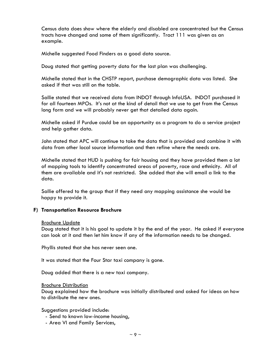Census data does show where the elderly and disabled are concentrated but the Census tracts have changed and some of them significantly. Tract 111 was given as an example.

Michelle suggested Food Finders as a good data source.

Doug stated that getting poverty data for the last plan was challenging.

Michelle stated that in the CHSTP report, purchase demographic data was listed. She asked if that was still on the table.

Sallie stated that we received data from INDOT through InfoUSA. INDOT purchased it for all fourteen MPOs. It's not at the kind of detail that we use to get from the Census long form and we will probably never get that detailed data again.

Michelle asked if Purdue could be an opportunity as a program to do a service project and help gather data.

John stated that APC will continue to take the data that is provided and combine it with data from other local source information and then refine where the needs are.

Michelle stated that HUD is pushing for fair housing and they have provided them a lot of mapping tools to identify concentrated areas of poverty, race and ethnicity. All of them are available and it's not restricted. She added that she will email a link to the data.

Sallie offered to the group that if they need any mapping assistance she would be happy to provide it.

# **F) Transportation Resource Brochure**

#### **Brochure Update**

Doug stated that it is his goal to update it by the end of the year. He asked if everyone can look at it and then let him know if any of the information needs to be changed.

Phyllis stated that she has never seen one.

It was stated that the Four Star taxi company is gone.

Doug added that there is a new taxi company.

#### Brochure Distribution

Doug explained how the brochure was initially distributed and asked for ideas on how to distribute the new ones.

Suggestions provided include:

- Send to known low-income housing,
- Area VI and Family Services,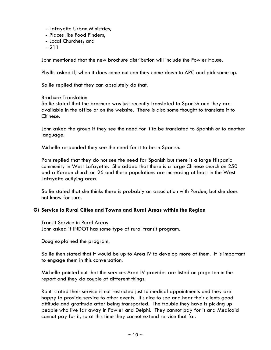- Lafayette Urban Ministries,
- Places like Food Finders,
- Local Churches; and
- 211

John mentioned that the new brochure distribution will include the Fowler House.

Phyllis asked if, when it does come out can they come down to APC and pick some up.

Sallie replied that they can absolutely do that.

#### Brochure Translation

Sallie stated that the brochure was just recently translated to Spanish and they are available in the office or on the website. There is also some thought to translate it to Chinese.

John asked the group if they see the need for it to be translated to Spanish or to another language.

Michelle responded they see the need for it to be in Spanish.

Pam replied that they do not see the need for Spanish but there is a large Hispanic community in West Lafayette. She added that there is a large Chinese church on 250 and a Korean church on 26 and these populations are increasing at least in the West Lafayette outlying area.

Sallie stated that she thinks there is probably an association with Purdue, but she does not know for sure.

# **G) Service to Rural Cities and Towns and Rural Areas within the Region**

Transit Service in Rural Areas

John asked if INDOT has some type of rural transit program.

Doug explained the program.

Sallie then stated that it would be up to Area IV to develop more of them. It is important to engage them in this conversation.

Michelle pointed out that the services Area IV provides are listed on page ten in the report and they do couple of different things.

Ranti stated their service is not restricted just to medical appointments and they are happy to provide service to other events. It's nice to see and hear their clients good attitude and gratitude after being transported. The trouble they have is picking up people who live far away in Fowler and Delphi. They cannot pay for it and Medicaid cannot pay for it, so at this time they cannot extend service that far.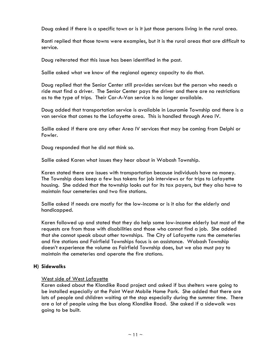Doug asked if there is a specific town or is it just those persons living in the rural area.

Ranti replied that those towns were examples, but it is the rural areas that are difficult to service.

Doug reiterated that this issue has been identified in the past.

Sallie asked what we know of the regional agency capacity to do that.

Doug replied that the Senior Center still provides services but the person who needs a ride must find a driver. The Senior Center pays the driver and there are no restrictions as to the type of trips. Their Car-A-Van service is no longer available.

Doug added that transportation service is available in Lauramie Township and there is a van service that comes to the Lafayette area. This is handled through Area IV.

Sallie asked if there are any other Area IV services that may be coming from Delphi or Fowler.

Doug responded that he did not think so.

Sallie asked Karen what issues they hear about in Wabash Township.

Karen stated there are issues with transportation because individuals have no money. The Township does keep a few bus tokens for job interviews or for trips to Lafayette housing. She added that the township looks out for its tax payers, but they also have to maintain four cemeteries and two fire stations.

Sallie asked if needs are mostly for the low-income or is it also for the elderly and handicapped.

Karen followed up and stated that they do help some low-income elderly but most of the requests are from those with disabilities and those who cannot find a job. She added that she cannot speak about other townships. The City of Lafayette runs the cemeteries and fire stations and Fairfield Townships focus is on assistance. Wabash Township doesn't experience the volume as Fairfield Township does, but we also must pay to maintain the cemeteries and operate the fire stations.

# **H) Sidewalks**

# West side of West Lafayette

Karen asked about the Klondike Road project and asked if bus shelters were going to be installed especially at the Point West Mobile Home Park. She added that there are lots of people and children waiting at the stop especially during the summer time. There are a lot of people using the bus along Klondike Road. She asked if a sidewalk was going to be built.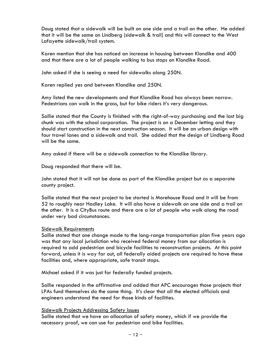Doug stated that a sidewalk will be built on one side and a trail on the other. He added that it will be the same on Lindberg (sidewalk & trail) and this will connect to the West Lafayette sidewalk/trail system.

Karen mention that she has noticed an increase in housing between Klondike and 400 and that there are a lot of people walking to bus stops on Klondike Road.

John asked if she is seeing a need for sidewalks along 250N.

Karen replied yes and between Klondike and 250N.

Amy listed the new developments and that Klondike Road has always been narrow. Pedestrians can walk in the grass, but for bike riders it's very dangerous.

Sallie stated that the County is finished with the right-of-way purchasing and the last big chunk was with the school corporation. The project is on a December letting and they should start construction in the next construction season. It will be an urban design with four travel lanes and a sidewalk and trail. She added that the design of Lindberg Road will be the same.

Amy asked if there will be a sidewalk connection to the Klondike library.

Doug responded that there will be.

John stated that it will not be done as part of the Klondike project but as a separate county project.

Sallie stated that the next project to be started is Morehouse Road and it will be from 52 to roughly near Hadley Lake. It will also have a sidewalk on one side and a trail on the other. It is a CityBus route and there are a lot of people who walk along the road under very bad circumstances.

# Sidewalk Requirements

Sallie stated that one change made to the long-range transportation plan five years ago was that any local jurisdiction who received federal money from our allocation is required to add pedestrian and bicycle facilities to reconstruction projects. At this point forward, unless it is way far out, all federally aided projects are required to have these facilities and, where appropriate, safe transit stops.

Michael asked if it was just for federally funded projects.

Sallie responded in the affirmative and added that APC encourages those projects that LPAs fund themselves do the same thing. It's clear that all the elected officials and engineers understand the need for those kinds of facilities.

# Sidewalk Projects Addressing Safety Issues

Sallie stated that we have an allocation of safety money, which if we provide the necessary proof, we can use for pedestrian and bike facilities.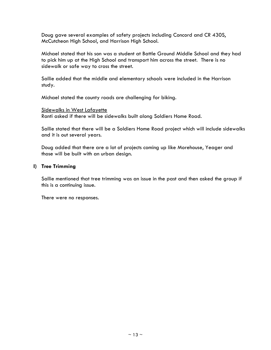Doug gave several examples of safety projects including Concord and CR 430S, McCutcheon High School, and Harrison High School.

Michael stated that his son was a student at Battle Ground Middle School and they had to pick him up at the High School and transport him across the street. There is no sidewalk or safe way to cross the street.

Sallie added that the middle and elementary schools were included in the Harrison study.

Michael stated the county roads are challenging for biking.

Sidewalks in West Lafayette

Ranti asked if there will be sidewalks built along Soldiers Home Road.

Sallie stated that there will be a Soldiers Home Road project which will include sidewalks and it is out several years.

Doug added that there are a lot of projects coming up like Morehouse, Yeager and those will be built with an urban design.

# **I) Tree Trimming**

Sallie mentioned that tree trimming was an issue in the past and then asked the group if this is a continuing issue.

There were no responses.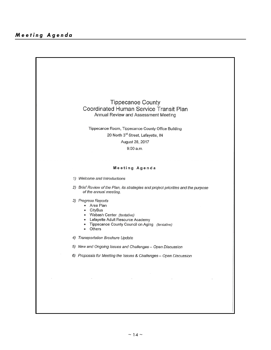